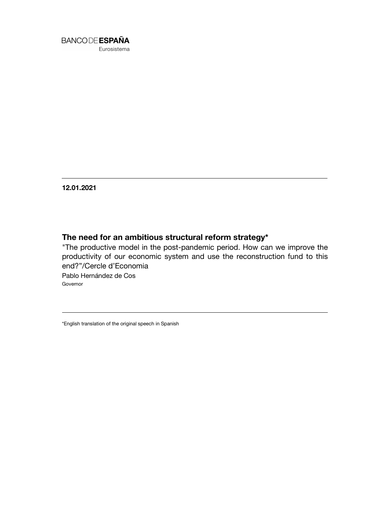

Eurosistema

**12.01.2021**

## **The need for an ambitious structural reform strategy\***

"The productive model in the post-pandemic period. How can we improve the productivity of our economic system and use the reconstruction fund to this end?"/Cercle d'Economia Pablo Hernández de Cos

Governor

\*English translation of the original speech in Spanish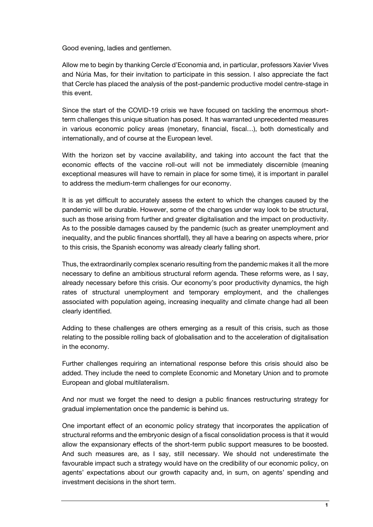Good evening, ladies and gentlemen.

Allow me to begin by thanking Cercle d'Economia and, in particular, professors Xavier Vives and Núria Mas, for their invitation to participate in this session. I also appreciate the fact that Cercle has placed the analysis of the post-pandemic productive model centre-stage in this event.

Since the start of the COVID-19 crisis we have focused on tackling the enormous shortterm challenges this unique situation has posed. It has warranted unprecedented measures in various economic policy areas (monetary, financial, fiscal…), both domestically and internationally, and of course at the European level.

With the horizon set by vaccine availability, and taking into account the fact that the economic effects of the vaccine roll-out will not be immediately discernible (meaning exceptional measures will have to remain in place for some time), it is important in parallel to address the medium-term challenges for our economy.

It is as yet difficult to accurately assess the extent to which the changes caused by the pandemic will be durable. However, some of the changes under way look to be structural, such as those arising from further and greater digitalisation and the impact on productivity. As to the possible damages caused by the pandemic (such as greater unemployment and inequality, and the public finances shortfall), they all have a bearing on aspects where, prior to this crisis, the Spanish economy was already clearly falling short.

Thus, the extraordinarily complex scenario resulting from the pandemic makes it all the more necessary to define an ambitious structural reform agenda. These reforms were, as I say, already necessary before this crisis. Our economy's poor productivity dynamics, the high rates of structural unemployment and temporary employment, and the challenges associated with population ageing, increasing inequality and climate change had all been clearly identified.

Adding to these challenges are others emerging as a result of this crisis, such as those relating to the possible rolling back of globalisation and to the acceleration of digitalisation in the economy.

Further challenges requiring an international response before this crisis should also be added. They include the need to complete Economic and Monetary Union and to promote European and global multilateralism.

And nor must we forget the need to design a public finances restructuring strategy for gradual implementation once the pandemic is behind us.

One important effect of an economic policy strategy that incorporates the application of structural reforms and the embryonic design of a fiscal consolidation process is that it would allow the expansionary effects of the short-term public support measures to be boosted. And such measures are, as I say, still necessary. We should not underestimate the favourable impact such a strategy would have on the credibility of our economic policy, on agents' expectations about our growth capacity and, in sum, on agents' spending and investment decisions in the short term.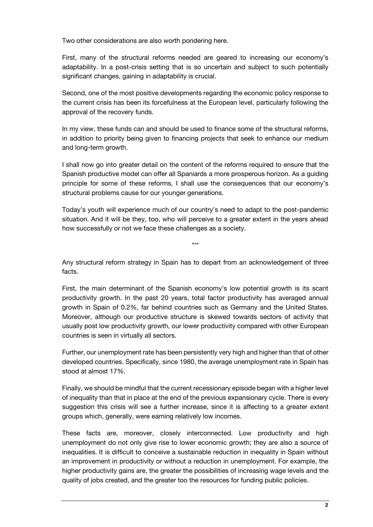Two other considerations are also worth pondering here.

First, many of the structural reforms needed are geared to increasing our economy's adaptability. In a post-crisis setting that is so uncertain and subject to such potentially significant changes, gaining in adaptability is crucial.

Second, one of the most positive developments regarding the economic policy response to the current crisis has been its forcefulness at the European level, particularly following the approval of the recovery funds.

In my view, these funds can and should be used to finance some of the structural reforms, in addition to priority being given to financing projects that seek to enhance our medium and long-term growth.

I shall now go into greater detail on the content of the reforms required to ensure that the Spanish productive model can offer all Spaniards a more prosperous horizon. As a guiding principle for some of these reforms, I shall use the consequences that our economy's structural problems cause for our younger generations.

Today's youth will experience much of our country's need to adapt to the post-pandemic situation. And it will be they, too, who will perceive to a greater extent in the years ahead how successfully or not we face these challenges as a society.

Any structural reform strategy in Spain has to depart from an acknowledgement of three facts.

\*\*\*

First, the main determinant of the Spanish economy's low potential growth is its scant productivity growth. In the past 20 years, total factor productivity has averaged annual growth in Spain of 0.2%, far behind countries such as Germany and the United States. Moreover, although our productive structure is skewed towards sectors of activity that usually post low productivity growth, our lower productivity compared with other European countries is seen in virtually all sectors.

Further, our unemployment rate has been persistently very high and higher than that of other developed countries. Specifically, since 1980, the average unemployment rate in Spain has stood at almost 17%.

Finally, we should be mindful that the current recessionary episode began with a higher level of inequality than that in place at the end of the previous expansionary cycle. There is every suggestion this crisis will see a further increase, since it is affecting to a greater extent groups which, generally, were earning relatively low incomes.

These facts are, moreover, closely interconnected. Low productivity and high unemployment do not only give rise to lower economic growth; they are also a source of inequalities. It is difficult to conceive a sustainable reduction in inequality in Spain without an improvement in productivity or without a reduction in unemployment. For example, the higher productivity gains are, the greater the possibilities of increasing wage levels and the quality of jobs created, and the greater too the resources for funding public policies.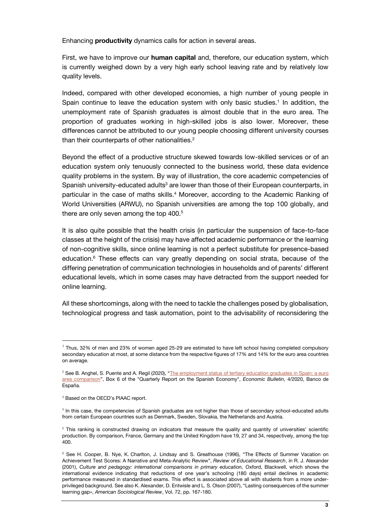Enhancing **productivity** dynamics calls for action in several areas.

First, we have to improve our **human capital** and, therefore, our education system, which is currently weighed down by a very high early school leaving rate and by relatively low quality levels.

Indeed, compared with other developed economies, a high number of young people in Spain continue to leave the education system with only basic studies.<sup>1</sup> In addition, the unemployment rate of Spanish graduates is almost double that in the euro area. The proportion of graduates working in high-skilled jobs is also lower. Moreover, these differences cannot be attributed to our young people choosing different university courses than their counterparts of other nationalities.<sup>2</sup>

Beyond the effect of a productive structure skewed towards low-skilled services or of an education system only tenuously connected to the business world, these data evidence quality problems in the system. By way of illustration, the core academic competencies of Spanish university-educated adults<sup>3</sup> are lower than those of their European counterparts, in particular in the case of maths skills.<sup>4</sup> Moreover, according to the Academic Ranking of World Universities (ARWU), no Spanish universities are among the top 100 globally, and there are only seven among the top 400.<sup>5</sup>

It is also quite possible that the health crisis (in particular the suspension of face-to-face classes at the height of the crisis) may have affected academic performance or the learning of non-cognitive skills, since online learning is not a perfect substitute for presence-based education.<sup>6</sup> These effects can vary greatly depending on social strata, because of the differing penetration of communication technologies in households and of parents' different educational levels, which in some cases may have detracted from the support needed for online learning.

All these shortcomings, along with the need to tackle the challenges posed by globalisation, technological progress and task automation, point to the advisability of reconsidering the

<sup>&</sup>lt;sup>1</sup> Thus, 32% of men and 23% of women aged 25-29 are estimated to have left school having completed compulsory secondary education at most, at some distance from the respective figures of 17% and 14% for the euro area countries on average.

<sup>&</sup>lt;sup>2</sup> See B. Anghel, S. Puente and A. Regil (2020), "The employment status of tertiary education graduates in Spain: a euro area comparison", Box 6 of the "Quarterly Report on the Spanish Economy", *Economic Bulletin*, 4/2020, Banco de España.

<sup>&</sup>lt;sup>3</sup> Based on the OECD's PIAAC report.

<sup>4</sup> In this case, the competencies of Spanish graduates are not higher than those of secondary school-educated adults from certain European countries such as Denmark, Sweden, Slovakia, the Netherlands and Austria.

<sup>&</sup>lt;sup>5</sup> This ranking is constructed drawing on indicators that measure the quality and quantity of universities' scientific production. By comparison, France, Germany and the United Kingdom have 19, 27 and 34, respectively, among the top 400.

<sup>&</sup>lt;sup>6</sup> See H. Cooper, B. Nye, K. Charlton, J. Lindsay and S. Greathouse (1996), "The Effects of Summer Vacation on Achievement Test Scores: A Narrative and Meta-Analytic Review", *Review of Educational Research*, in R. J. Alexander (2001), *Culture and pedagogy: international comparisons in primary education,* Oxford, Blackwell, which shows the international evidence indicating that reductions of one year's schooling (180 days) entail declines in academic performance measured in standardised exams. This effect is associated above all with students from a more underprivileged background. See also K. Alexander, D. Entwisle and L. S. Olson (2007), "Lasting consequences of the summer learning gap», *American Sociological Review*, Vol. 72, pp. 167-180.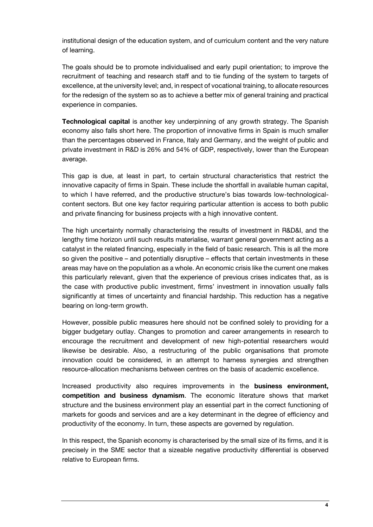institutional design of the education system, and of curriculum content and the very nature of learning.

The goals should be to promote individualised and early pupil orientation; to improve the recruitment of teaching and research staff and to tie funding of the system to targets of excellence, at the university level; and, in respect of vocational training, to allocate resources for the redesign of the system so as to achieve a better mix of general training and practical experience in companies.

**Technological capital** is another key underpinning of any growth strategy. The Spanish economy also falls short here. The proportion of innovative firms in Spain is much smaller than the percentages observed in France, Italy and Germany, and the weight of public and private investment in R&D is 26% and 54% of GDP, respectively, lower than the European average.

This gap is due, at least in part, to certain structural characteristics that restrict the innovative capacity of firms in Spain. These include the shortfall in available human capital, to which I have referred, and the productive structure's bias towards low-technologicalcontent sectors. But one key factor requiring particular attention is access to both public and private financing for business projects with a high innovative content.

The high uncertainty normally characterising the results of investment in R&D&I, and the lengthy time horizon until such results materialise, warrant general government acting as a catalyst in the related financing, especially in the field of basic research. This is all the more so given the positive – and potentially disruptive – effects that certain investments in these areas may have on the population as a whole. An economic crisis like the current one makes this particularly relevant, given that the experience of previous crises indicates that, as is the case with productive public investment, firms' investment in innovation usually falls significantly at times of uncertainty and financial hardship. This reduction has a negative bearing on long-term growth.

However, possible public measures here should not be confined solely to providing for a bigger budgetary outlay. Changes to promotion and career arrangements in research to encourage the recruitment and development of new high-potential researchers would likewise be desirable. Also, a restructuring of the public organisations that promote innovation could be considered, in an attempt to harness synergies and strengthen resource-allocation mechanisms between centres on the basis of academic excellence.

Increased productivity also requires improvements in the **business environment, competition and business dynamism**. The economic literature shows that market structure and the business environment play an essential part in the correct functioning of markets for goods and services and are a key determinant in the degree of efficiency and productivity of the economy. In turn, these aspects are governed by regulation.

In this respect, the Spanish economy is characterised by the small size of its firms, and it is precisely in the SME sector that a sizeable negative productivity differential is observed relative to European firms.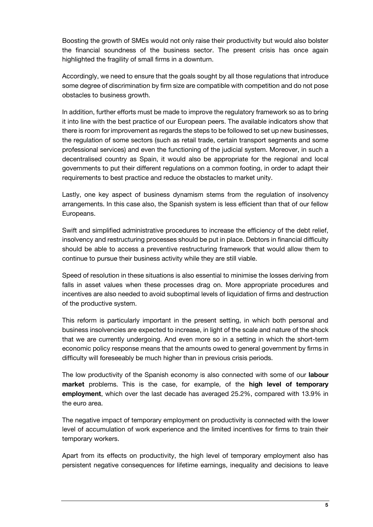Boosting the growth of SMEs would not only raise their productivity but would also bolster the financial soundness of the business sector. The present crisis has once again highlighted the fragility of small firms in a downturn.

Accordingly, we need to ensure that the goals sought by all those regulations that introduce some degree of discrimination by firm size are compatible with competition and do not pose obstacles to business growth.

In addition, further efforts must be made to improve the regulatory framework so as to bring it into line with the best practice of our European peers. The available indicators show that there is room for improvement as regards the steps to be followed to set up new businesses, the regulation of some sectors (such as retail trade, certain transport segments and some professional services) and even the functioning of the judicial system. Moreover, in such a decentralised country as Spain, it would also be appropriate for the regional and local governments to put their different regulations on a common footing, in order to adapt their requirements to best practice and reduce the obstacles to market unity.

Lastly, one key aspect of business dynamism stems from the regulation of insolvency arrangements. In this case also, the Spanish system is less efficient than that of our fellow Europeans.

Swift and simplified administrative procedures to increase the efficiency of the debt relief, insolvency and restructuring processes should be put in place. Debtors in financial difficulty should be able to access a preventive restructuring framework that would allow them to continue to pursue their business activity while they are still viable.

Speed of resolution in these situations is also essential to minimise the losses deriving from falls in asset values when these processes drag on. More appropriate procedures and incentives are also needed to avoid suboptimal levels of liquidation of firms and destruction of the productive system.

This reform is particularly important in the present setting, in which both personal and business insolvencies are expected to increase, in light of the scale and nature of the shock that we are currently undergoing. And even more so in a setting in which the short-term economic policy response means that the amounts owed to general government by firms in difficulty will foreseeably be much higher than in previous crisis periods.

The low productivity of the Spanish economy is also connected with some of our **labour market** problems. This is the case, for example, of the **high level of temporary employment**, which over the last decade has averaged 25.2%, compared with 13.9% in the euro area.

The negative impact of temporary employment on productivity is connected with the lower level of accumulation of work experience and the limited incentives for firms to train their temporary workers.

Apart from its effects on productivity, the high level of temporary employment also has persistent negative consequences for lifetime earnings, inequality and decisions to leave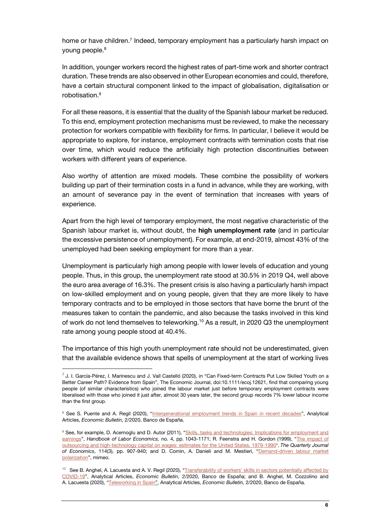home or have children.<sup>7</sup> Indeed, temporary employment has a particularly harsh impact on young people.<sup>8</sup>

In addition, younger workers record the highest rates of part-time work and shorter contract duration. These trends are also observed in other European economies and could, therefore, have a certain structural component linked to the impact of globalisation, digitalisation or robotisation.<sup>9</sup>

For all these reasons, it is essential that the duality of the Spanish labour market be reduced. To this end, employment protection mechanisms must be reviewed, to make the necessary protection for workers compatible with flexibility for firms. In particular, I believe it would be appropriate to explore, for instance, employment contracts with termination costs that rise over time, which would reduce the artificially high protection discontinuities between workers with different years of experience.

Also worthy of attention are mixed models. These combine the possibility of workers building up part of their termination costs in a fund in advance, while they are working, with an amount of severance pay in the event of termination that increases with years of experience.

Apart from the high level of temporary employment, the most negative characteristic of the Spanish labour market is, without doubt, the **high unemployment rate** (and in particular the excessive persistence of unemployment). For example, at end-2019, almost 43% of the unemployed had been seeking employment for more than a year.

Unemployment is particularly high among people with lower levels of education and young people. Thus, in this group, the unemployment rate stood at 30.5% in 2019 Q4, well above the euro area average of 16.3%. The present crisis is also having a particularly harsh impact on low-skilled employment and on young people, given that they are more likely to have temporary contracts and to be employed in those sectors that have borne the brunt of the measures taken to contain the pandemic, and also because the tasks involved in this kind of work do not lend themselves to teleworking.<sup>10</sup> As a result, in 2020 Q3 the unemployment rate among young people stood at 40.4%.

The importance of this high youth unemployment rate should not be underestimated, given that the available evidence shows that spells of unemployment at the start of working lives

<sup>7</sup> J. I. García-Pérez, I. Marinescu and J. Vall Castelló (2020), in "Can Fixed-term Contracts Put Low Skilled Youth on a Better Career Path? Evidence from Spain", The Economic Journal, doi:10.1111/ecoj.12621, find that comparing young people (of similar characteristics) who joined the labour market just before temporary employment contracts were liberalised with those who joined it just after, almost 30 years later, the second group records 7% lower labour income than the first group.

<sup>&</sup>lt;sup>8</sup> See S. Puente and A. Regil (2020), "Intergenerational employment trends in Spain in recent decades", Analytical Articles, *Economic Bulletin,* 2/2020, Banco de España.

<sup>9</sup> See, for example, D. Acemoglu and D. Autor (2011), "Skills, tasks and technologies: Implications for employment and earnings", *Handbook of Labor Economics,* no. 4, pp. 1043-1171; R. Feenstra and H. Gordon (1999), "The impact of outsourcing and high-technology capital on wages: estimates for the United States, 1979-1990", *The Quarterly Journal of Economics*, 114(3), pp. 907-940; and D. Comin, A. Danieli and M. Mestieri, "Demand-driven labour market polarization", mimeo.

<sup>&</sup>lt;sup>10</sup> See B. Anghel, A. Lacuesta and A. V. Regil (2020), "Transferability of workers' skills in sectors potentially affected by COVID-19", Analytical Articles, *Economic Bulletin,* 2/2020, Banco de España; and B. Anghel, M. Cozzolino and A. Lacuesta (2020), "Teleworking in Spain", Analytical Articles, *Economic Bulletin,* 2/2020, Banco de España.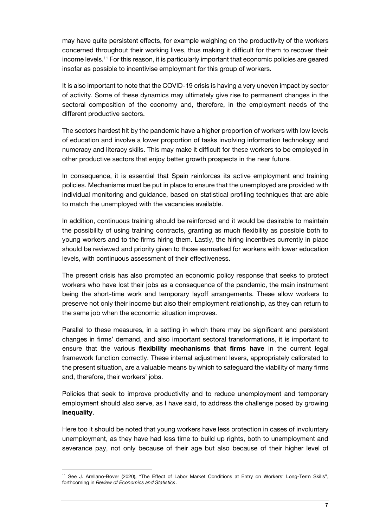may have quite persistent effects, for example weighing on the productivity of the workers concerned throughout their working lives, thus making it difficult for them to recover their income levels.<sup>11</sup> For this reason, it is particularly important that economic policies are geared insofar as possible to incentivise employment for this group of workers.

It is also important to note that the COVID-19 crisis is having a very uneven impact by sector of activity. Some of these dynamics may ultimately give rise to permanent changes in the sectoral composition of the economy and, therefore, in the employment needs of the different productive sectors.

The sectors hardest hit by the pandemic have a higher proportion of workers with low levels of education and involve a lower proportion of tasks involving information technology and numeracy and literacy skills. This may make it difficult for these workers to be employed in other productive sectors that enjoy better growth prospects in the near future.

In consequence, it is essential that Spain reinforces its active employment and training policies. Mechanisms must be put in place to ensure that the unemployed are provided with individual monitoring and guidance, based on statistical profiling techniques that are able to match the unemployed with the vacancies available.

In addition, continuous training should be reinforced and it would be desirable to maintain the possibility of using training contracts, granting as much flexibility as possible both to young workers and to the firms hiring them. Lastly, the hiring incentives currently in place should be reviewed and priority given to those earmarked for workers with lower education levels, with continuous assessment of their effectiveness.

The present crisis has also prompted an economic policy response that seeks to protect workers who have lost their jobs as a consequence of the pandemic, the main instrument being the short-time work and temporary layoff arrangements. These allow workers to preserve not only their income but also their employment relationship, as they can return to the same job when the economic situation improves.

Parallel to these measures, in a setting in which there may be significant and persistent changes in firms' demand, and also important sectoral transformations, it is important to ensure that the various **flexibility mechanisms that firms have** in the current legal framework function correctly. These internal adjustment levers, appropriately calibrated to the present situation, are a valuable means by which to safeguard the viability of many firms and, therefore, their workers' jobs.

Policies that seek to improve productivity and to reduce unemployment and temporary employment should also serve, as I have said, to address the challenge posed by growing **inequality**.

Here too it should be noted that young workers have less protection in cases of involuntary unemployment, as they have had less time to build up rights, both to unemployment and severance pay, not only because of their age but also because of their higher level of

<sup>&</sup>lt;sup>11</sup> See J. Arellano-Bover (2020), "The Effect of Labor Market Conditions at Entry on Workers' Long-Term Skills", forthcoming in *Review of Economics and Statistics*.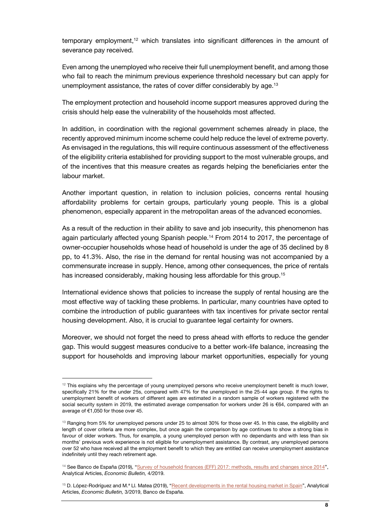temporary employment,<sup>12</sup> which translates into significant differences in the amount of severance pay received.

Even among the unemployed who receive their full unemployment benefit, and among those who fail to reach the minimum previous experience threshold necessary but can apply for unemployment assistance, the rates of cover differ considerably by age.<sup>13</sup>

The employment protection and household income support measures approved during the crisis should help ease the vulnerability of the households most affected.

In addition, in coordination with the regional government schemes already in place, the recently approved minimum income scheme could help reduce the level of extreme poverty. As envisaged in the regulations, this will require continuous assessment of the effectiveness of the eligibility criteria established for providing support to the most vulnerable groups, and of the incentives that this measure creates as regards helping the beneficiaries enter the labour market.

Another important question, in relation to inclusion policies, concerns rental housing affordability problems for certain groups, particularly young people. This is a global phenomenon, especially apparent in the metropolitan areas of the advanced economies.

As a result of the reduction in their ability to save and job insecurity, this phenomenon has again particularly affected young Spanish people.<sup>14</sup> From 2014 to 2017, the percentage of owner-occupier households whose head of household is under the age of 35 declined by 8 pp, to 41.3%. Also, the rise in the demand for rental housing was not accompanied by a commensurate increase in supply. Hence, among other consequences, the price of rentals has increased considerably, making housing less affordable for this group.<sup>15</sup>

International evidence shows that policies to increase the supply of rental housing are the most effective way of tackling these problems. In particular, many countries have opted to combine the introduction of public guarantees with tax incentives for private sector rental housing development. Also, it is crucial to guarantee legal certainty for owners.

Moreover, we should not forget the need to press ahead with efforts to reduce the gender gap. This would suggest measures conducive to a better work-life balance, increasing the support for households and improving labour market opportunities, especially for young

 $12$  This explains why the percentage of young unemployed persons who receive unemployment benefit is much lower, specifically 21% for the under 25s, compared with 47% for the unemployed in the 25-44 age group. If the rights to unemployment benefit of workers of different ages are estimated in a random sample of workers registered with the social security system in 2019, the estimated average compensation for workers under 26 is €64, compared with an average of €1,050 for those over 45.

<sup>&</sup>lt;sup>13</sup> Ranging from 5% for unemployed persons under 25 to almost 30% for those over 45. In this case, the eligibility and length of cover criteria are more complex, but once again the comparison by age continues to show a strong bias in favour of older workers. Thus, for example, a young unemployed person with no dependants and with less than six months' previous work experience is not eligible for unemployment assistance. By contrast, any unemployed persons over 52 who have received all the employment benefit to which they are entitled can receive unemployment assistance indefinitely until they reach retirement age.

<sup>&</sup>lt;sup>14</sup> See Banco de España (2019), "Survey of household finances (EFF) 2017: methods, results and changes since 2014", Analytical Articles, *Economic Bulletin,* 4/2019.

<sup>&</sup>lt;sup>15</sup> D. López-Rodríguez and M.ª Ll. Matea (2019), "Recent developments in the rental housing market in Spain", Analytical Articles, *Economic Bulletin,* 3/2019, Banco de España.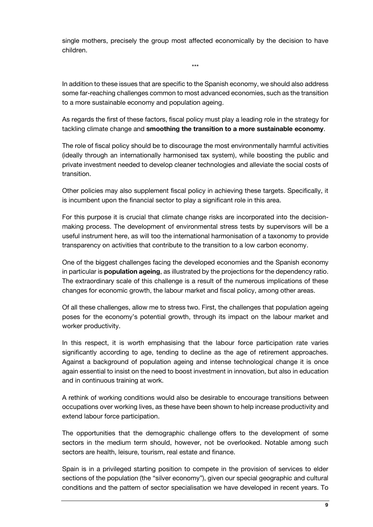single mothers, precisely the group most affected economically by the decision to have children.

\*\*\*

In addition to these issues that are specific to the Spanish economy, we should also address some far-reaching challenges common to most advanced economies, such as the transition to a more sustainable economy and population ageing.

As regards the first of these factors, fiscal policy must play a leading role in the strategy for tackling climate change and **smoothing the transition to a more sustainable economy**.

The role of fiscal policy should be to discourage the most environmentally harmful activities (ideally through an internationally harmonised tax system), while boosting the public and private investment needed to develop cleaner technologies and alleviate the social costs of transition.

Other policies may also supplement fiscal policy in achieving these targets. Specifically, it is incumbent upon the financial sector to play a significant role in this area.

For this purpose it is crucial that climate change risks are incorporated into the decisionmaking process. The development of environmental stress tests by supervisors will be a useful instrument here, as will too the international harmonisation of a taxonomy to provide transparency on activities that contribute to the transition to a low carbon economy.

One of the biggest challenges facing the developed economies and the Spanish economy in particular is **population ageing**, as illustrated by the projections for the dependency ratio. The extraordinary scale of this challenge is a result of the numerous implications of these changes for economic growth, the labour market and fiscal policy, among other areas.

Of all these challenges, allow me to stress two. First, the challenges that population ageing poses for the economy's potential growth, through its impact on the labour market and worker productivity.

In this respect, it is worth emphasising that the labour force participation rate varies significantly according to age, tending to decline as the age of retirement approaches. Against a background of population ageing and intense technological change it is once again essential to insist on the need to boost investment in innovation, but also in education and in continuous training at work.

A rethink of working conditions would also be desirable to encourage transitions between occupations over working lives, as these have been shown to help increase productivity and extend labour force participation.

The opportunities that the demographic challenge offers to the development of some sectors in the medium term should, however, not be overlooked. Notable among such sectors are health, leisure, tourism, real estate and finance.

Spain is in a privileged starting position to compete in the provision of services to elder sections of the population (the "silver economy"), given our special geographic and cultural conditions and the pattern of sector specialisation we have developed in recent years. To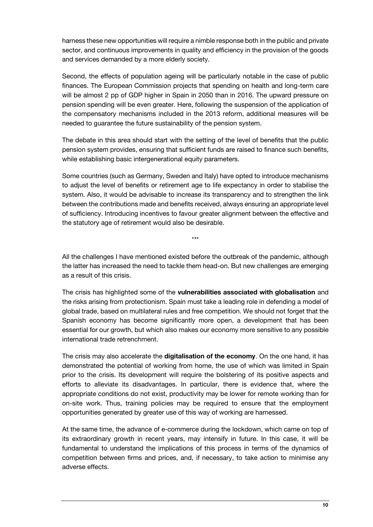harness these new opportunities will require a nimble response both in the public and private sector, and continuous improvements in quality and efficiency in the provision of the goods and services demanded by a more elderly society.

Second, the effects of population ageing will be particularly notable in the case of public finances. The European Commission projects that spending on health and long-term care will be almost 2 pp of GDP higher in Spain in 2050 than in 2016. The upward pressure on pension spending will be even greater. Here, following the suspension of the application of the compensatory mechanisms included in the 2013 reform, additional measures will be needed to guarantee the future sustainability of the pension system.

The debate in this area should start with the setting of the level of benefits that the public pension system provides, ensuring that sufficient funds are raised to finance such benefits, while establishing basic intergenerational equity parameters.

Some countries (such as Germany, Sweden and Italy) have opted to introduce mechanisms to adjust the level of benefits or retirement age to life expectancy in order to stabilise the system. Also, it would be advisable to increase its transparency and to strengthen the link between the contributions made and benefits received, always ensuring an appropriate level of sufficiency. Introducing incentives to favour greater alignment between the effective and the statutory age of retirement would also be desirable.

All the challenges I have mentioned existed before the outbreak of the pandemic, although the latter has increased the need to tackle them head-on. But new challenges are emerging as a result of this crisis.

\*\*\*

The crisis has highlighted some of the **vulnerabilities associated with globalisation** and the risks arising from protectionism. Spain must take a leading role in defending a model of global trade, based on multilateral rules and free competition. We should not forget that the Spanish economy has become significantly more open, a development that has been essential for our growth, but which also makes our economy more sensitive to any possible international trade retrenchment.

The crisis may also accelerate the **digitalisation of the economy**. On the one hand, it has demonstrated the potential of working from home, the use of which was limited in Spain prior to the crisis. Its development will require the bolstering of its positive aspects and efforts to alleviate its disadvantages. In particular, there is evidence that, where the appropriate conditions do not exist, productivity may be lower for remote working than for on-site work. Thus, training policies may be required to ensure that the employment opportunities generated by greater use of this way of working are harnessed.

At the same time, the advance of e-commerce during the lockdown, which came on top of its extraordinary growth in recent years, may intensify in future. In this case, it will be fundamental to understand the implications of this process in terms of the dynamics of competition between firms and prices, and, if necessary, to take action to minimise any adverse effects.